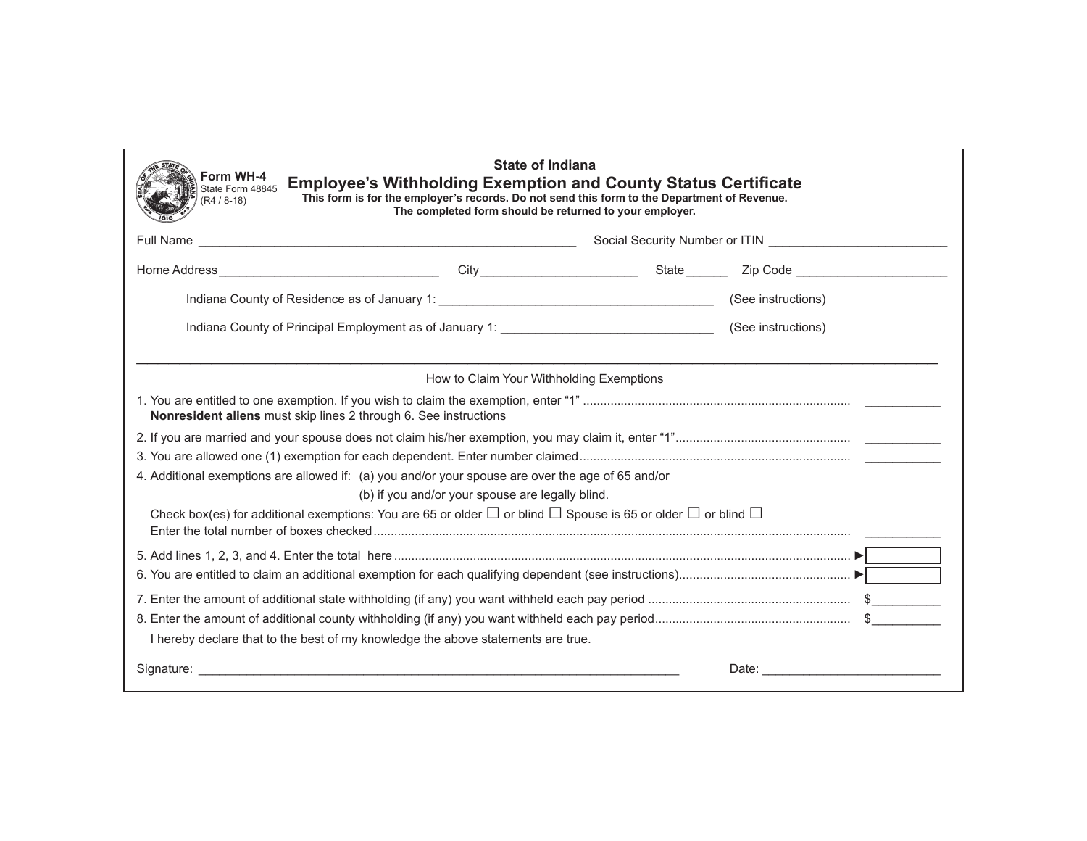| Form WH-4<br>State Form 48845<br>$(R4 / 8 - 18)$                 | <b>State of Indiana</b><br><b>Employee's Withholding Exemption and County Status Certificate</b><br>This form is for the employer's records. Do not send this form to the Department of Revenue.<br>The completed form should be returned to your employer. |  |                                                 |
|------------------------------------------------------------------|-------------------------------------------------------------------------------------------------------------------------------------------------------------------------------------------------------------------------------------------------------------|--|-------------------------------------------------|
|                                                                  | Social Security Number or ITIN<br>Notation of the Communication of the Communication of the Communication of the Communication of the Communication of the Communication of the Communication of the Communication of the Commun                            |  |                                                 |
|                                                                  |                                                                                                                                                                                                                                                             |  |                                                 |
|                                                                  |                                                                                                                                                                                                                                                             |  |                                                 |
|                                                                  |                                                                                                                                                                                                                                                             |  |                                                 |
|                                                                  | How to Claim Your Withholding Exemptions                                                                                                                                                                                                                    |  |                                                 |
| Nonresident aliens must skip lines 2 through 6. See instructions |                                                                                                                                                                                                                                                             |  |                                                 |
|                                                                  |                                                                                                                                                                                                                                                             |  |                                                 |
|                                                                  |                                                                                                                                                                                                                                                             |  |                                                 |
|                                                                  | 4. Additional exemptions are allowed if: (a) you and/or your spouse are over the age of 65 and/or                                                                                                                                                           |  |                                                 |
|                                                                  | (b) if you and/or your spouse are legally blind.                                                                                                                                                                                                            |  |                                                 |
|                                                                  | Check box(es) for additional exemptions: You are 65 or older $\Box$ or blind $\Box$ Spouse is 65 or older $\Box$ or blind $\Box$                                                                                                                            |  |                                                 |
|                                                                  |                                                                                                                                                                                                                                                             |  |                                                 |
|                                                                  |                                                                                                                                                                                                                                                             |  |                                                 |
|                                                                  |                                                                                                                                                                                                                                                             |  |                                                 |
|                                                                  |                                                                                                                                                                                                                                                             |  |                                                 |
|                                                                  | I hereby declare that to the best of my knowledge the above statements are true.                                                                                                                                                                            |  |                                                 |
|                                                                  |                                                                                                                                                                                                                                                             |  | Date: <u>__________________________________</u> |